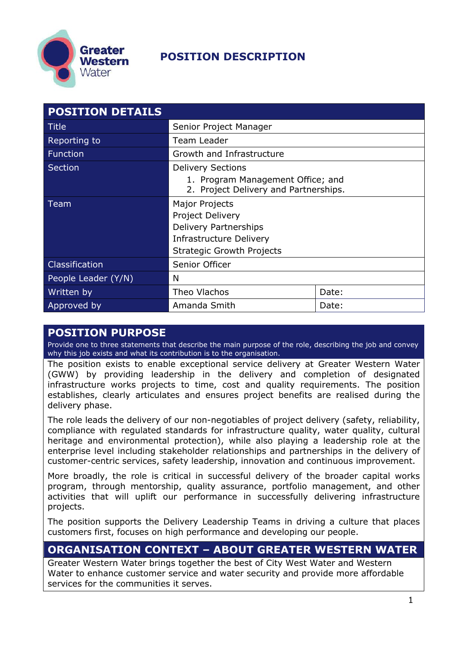

| <b>POSITION DETAILS</b> |                                                                            |  |  |
|-------------------------|----------------------------------------------------------------------------|--|--|
| <b>Title</b>            | Senior Project Manager                                                     |  |  |
| Reporting to            | Team Leader                                                                |  |  |
| <b>Function</b>         | Growth and Infrastructure                                                  |  |  |
| <b>Section</b>          | <b>Delivery Sections</b>                                                   |  |  |
|                         | 1. Program Management Office; and<br>2. Project Delivery and Partnerships. |  |  |
| Team                    | Major Projects                                                             |  |  |
|                         | <b>Project Delivery</b>                                                    |  |  |
|                         | <b>Delivery Partnerships</b>                                               |  |  |
|                         | <b>Infrastructure Delivery</b>                                             |  |  |
|                         | <b>Strategic Growth Projects</b>                                           |  |  |
| Classification          | Senior Officer                                                             |  |  |
| People Leader (Y/N)     | N                                                                          |  |  |
| Written by              | Theo Vlachos<br>Date:                                                      |  |  |
| Approved by             | Amanda Smith<br>Date:                                                      |  |  |

#### **POSITION PURPOSE**

Provide one to three statements that describe the main purpose of the role, describing the job and convey why this job exists and what its contribution is to the organisation.

The position exists to enable exceptional service delivery at Greater Western Water (GWW) by providing leadership in the delivery and completion of designated infrastructure works projects to time, cost and quality requirements. The position establishes, clearly articulates and ensures project benefits are realised during the delivery phase.

The role leads the delivery of our non-negotiables of project delivery (safety, reliability, compliance with regulated standards for infrastructure quality, water quality, cultural heritage and environmental protection), while also playing a leadership role at the enterprise level including stakeholder relationships and partnerships in the delivery of customer-centric services, safety leadership, innovation and continuous improvement.

More broadly, the role is critical in successful delivery of the broader capital works program, through mentorship, quality assurance, portfolio management, and other activities that will uplift our performance in successfully delivering infrastructure projects.

The position supports the Delivery Leadership Teams in driving a culture that places customers first, focuses on high performance and developing our people.

#### **ORGANISATION CONTEXT – ABOUT GREATER WESTERN WATER**

Greater Western Water brings together the best of City West Water and Western Water to enhance customer service and water security and provide more affordable services for the communities it serves.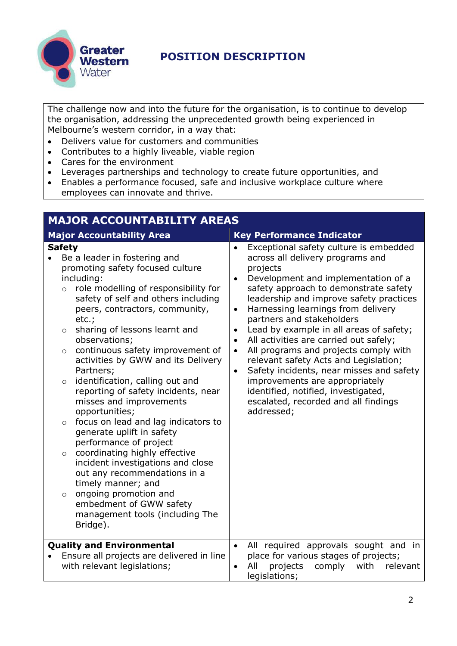

The challenge now and into the future for the organisation, is to continue to develop the organisation, addressing the unprecedented growth being experienced in Melbourne's western corridor, in a way that:

- Delivers value for customers and communities
- Contributes to a highly liveable, viable region
- Cares for the environment
- Leverages partnerships and technology to create future opportunities, and
- Enables a performance focused, safe and inclusive workplace culture where employees can innovate and thrive.

| <b>MAJOR ACCOUNTABILITY AREAS</b>                                                                                                                                                                                                                                                                                                                                                                                                                                                                                                                                                                                                                                                                                                                                                                                                                                                                      |                                                                                                                                                                                                                                                                                                                                                                                                                                                                                                                                                                                                                                                                                                                                   |  |
|--------------------------------------------------------------------------------------------------------------------------------------------------------------------------------------------------------------------------------------------------------------------------------------------------------------------------------------------------------------------------------------------------------------------------------------------------------------------------------------------------------------------------------------------------------------------------------------------------------------------------------------------------------------------------------------------------------------------------------------------------------------------------------------------------------------------------------------------------------------------------------------------------------|-----------------------------------------------------------------------------------------------------------------------------------------------------------------------------------------------------------------------------------------------------------------------------------------------------------------------------------------------------------------------------------------------------------------------------------------------------------------------------------------------------------------------------------------------------------------------------------------------------------------------------------------------------------------------------------------------------------------------------------|--|
| <b>Major Accountability Area</b>                                                                                                                                                                                                                                                                                                                                                                                                                                                                                                                                                                                                                                                                                                                                                                                                                                                                       | <b>Key Performance Indicator</b>                                                                                                                                                                                                                                                                                                                                                                                                                                                                                                                                                                                                                                                                                                  |  |
| <b>Safety</b><br>Be a leader in fostering and<br>promoting safety focused culture<br>including:<br>role modelling of responsibility for<br>$\circ$<br>safety of self and others including<br>peers, contractors, community,<br>$etc.$ ;<br>sharing of lessons learnt and<br>$\circ$<br>observations;<br>continuous safety improvement of<br>$\circ$<br>activities by GWW and its Delivery<br>Partners;<br>identification, calling out and<br>$\circ$<br>reporting of safety incidents, near<br>misses and improvements<br>opportunities;<br>focus on lead and lag indicators to<br>$\circ$<br>generate uplift in safety<br>performance of project<br>coordinating highly effective<br>$\circ$<br>incident investigations and close<br>out any recommendations in a<br>timely manner; and<br>ongoing promotion and<br>$\circ$<br>embedment of GWW safety<br>management tools (including The<br>Bridge). | Exceptional safety culture is embedded<br>$\bullet$<br>across all delivery programs and<br>projects<br>Development and implementation of a<br>$\bullet$<br>safety approach to demonstrate safety<br>leadership and improve safety practices<br>Harnessing learnings from delivery<br>$\bullet$<br>partners and stakeholders<br>Lead by example in all areas of safety;<br>$\bullet$<br>All activities are carried out safely;<br>$\bullet$<br>All programs and projects comply with<br>$\bullet$<br>relevant safety Acts and Legislation;<br>Safety incidents, near misses and safety<br>$\bullet$<br>improvements are appropriately<br>identified, notified, investigated,<br>escalated, recorded and all findings<br>addressed; |  |
| <b>Quality and Environmental</b><br>Ensure all projects are delivered in line<br>with relevant legislations;                                                                                                                                                                                                                                                                                                                                                                                                                                                                                                                                                                                                                                                                                                                                                                                           | All required approvals sought and in<br>$\bullet$<br>place for various stages of projects;<br>projects<br>with<br>All<br>comply<br>relevant<br>$\bullet$<br>legislations;                                                                                                                                                                                                                                                                                                                                                                                                                                                                                                                                                         |  |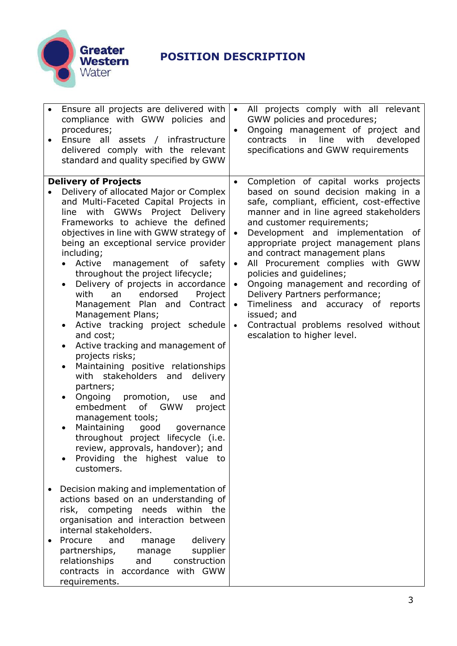

| ٠ | Ensure all projects are delivered with<br>compliance with GWW policies and<br>procedures;<br>Ensure all assets / infrastructure<br>delivered comply with the relevant<br>standard and quality specified by GWW                                                                                                                                                                                                                                                                                                                                                                                                                                                                                                                                                                                                                                                                                                                                                                                                                                                                                                                                                                                                                                                                                                                                                                    | $\bullet$<br>$\bullet$                                                     | All projects comply with all relevant<br>GWW policies and procedures;<br>Ongoing management of project and<br>line with<br>contracts<br>in<br>developed<br>specifications and GWW requirements                                                                                                                                                                                                                                                                                                                                                                                         |
|---|-----------------------------------------------------------------------------------------------------------------------------------------------------------------------------------------------------------------------------------------------------------------------------------------------------------------------------------------------------------------------------------------------------------------------------------------------------------------------------------------------------------------------------------------------------------------------------------------------------------------------------------------------------------------------------------------------------------------------------------------------------------------------------------------------------------------------------------------------------------------------------------------------------------------------------------------------------------------------------------------------------------------------------------------------------------------------------------------------------------------------------------------------------------------------------------------------------------------------------------------------------------------------------------------------------------------------------------------------------------------------------------|----------------------------------------------------------------------------|----------------------------------------------------------------------------------------------------------------------------------------------------------------------------------------------------------------------------------------------------------------------------------------------------------------------------------------------------------------------------------------------------------------------------------------------------------------------------------------------------------------------------------------------------------------------------------------|
|   | <b>Delivery of Projects</b><br>Delivery of allocated Major or Complex<br>and Multi-Faceted Capital Projects in<br>line with GWWs Project Delivery<br>Frameworks to achieve the defined<br>objectives in line with GWW strategy of<br>being an exceptional service provider<br>including;<br>Active<br>management of safety<br>$\bullet$<br>throughout the project lifecycle;<br>Delivery of projects in accordance<br>$\bullet$<br>endorsed<br>with<br>Project<br>an<br>Management Plan and Contract<br>Management Plans;<br>Active tracking project schedule<br>$\bullet$<br>and cost;<br>Active tracking and management of<br>$\bullet$<br>projects risks;<br>Maintaining positive relationships<br>٠<br>with stakeholders and delivery<br>partners;<br>Ongoing promotion, use<br>and<br>embedment of GWW<br>project<br>management tools;<br>Maintaining<br>good<br>governance<br>throughout project lifecycle (i.e.<br>review, approvals, handover); and<br>Providing the highest value to<br>customers.<br>Decision making and implementation of<br>actions based on an understanding of<br>risk, competing<br>needs within the<br>organisation and interaction between<br>internal stakeholders.<br>Procure<br>and<br>delivery<br>manage<br>partnerships,<br>supplier<br>manage<br>construction<br>relationships<br>and<br>contracts in accordance with GWW<br>requirements. | $\bullet$<br>$\bullet$<br>$\bullet$<br>$\bullet$<br>$\bullet$<br>$\bullet$ | Completion of capital works projects<br>based on sound decision making in a<br>safe, compliant, efficient, cost-effective<br>manner and in line agreed stakeholders<br>and customer requirements;<br>Development and implementation of<br>appropriate project management plans<br>and contract management plans<br>All Procurement complies with GWW<br>policies and guidelines;<br>Ongoing management and recording of<br>Delivery Partners performance;<br>Timeliness and accuracy of reports<br>issued; and<br>Contractual problems resolved without<br>escalation to higher level. |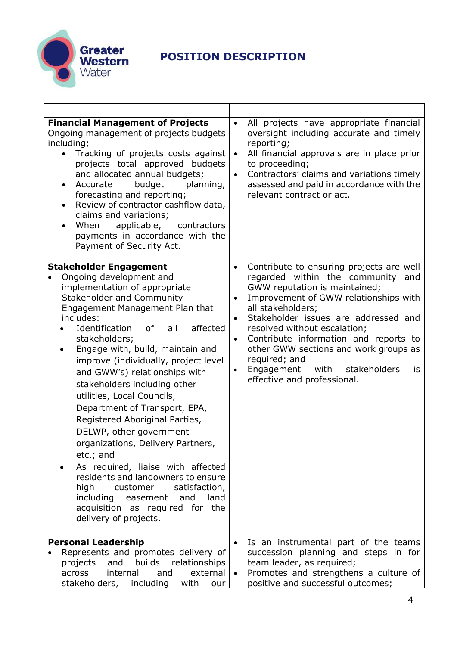

| <b>Financial Management of Projects</b><br>Ongoing management of projects budgets<br>including;<br>Tracking of projects costs against<br>projects total approved budgets<br>and allocated annual budgets;<br>Accurate<br>budget<br>planning,<br>$\bullet$<br>forecasting and reporting;<br>Review of contractor cashflow data,<br>$\bullet$<br>claims and variations;<br>When<br>applicable,<br>contractors<br>payments in accordance with the<br>Payment of Security Act.                                                                                                                                                                                                                                                                                                                                          | All projects have appropriate financial<br>$\bullet$<br>oversight including accurate and timely<br>reporting;<br>All financial approvals are in place prior<br>$\bullet$<br>to proceeding;<br>Contractors' claims and variations timely<br>$\bullet$<br>assessed and paid in accordance with the<br>relevant contract or act.                                                                                                                                                          |
|---------------------------------------------------------------------------------------------------------------------------------------------------------------------------------------------------------------------------------------------------------------------------------------------------------------------------------------------------------------------------------------------------------------------------------------------------------------------------------------------------------------------------------------------------------------------------------------------------------------------------------------------------------------------------------------------------------------------------------------------------------------------------------------------------------------------|----------------------------------------------------------------------------------------------------------------------------------------------------------------------------------------------------------------------------------------------------------------------------------------------------------------------------------------------------------------------------------------------------------------------------------------------------------------------------------------|
| <b>Stakeholder Engagement</b><br>Ongoing development and<br>implementation of appropriate<br><b>Stakeholder and Community</b><br>Engagement Management Plan that<br>includes:<br><b>Identification</b><br>affected<br><b>of</b><br>all<br>stakeholders;<br>Engage with, build, maintain and<br>$\bullet$<br>improve (individually, project level<br>and GWW's) relationships with<br>stakeholders including other<br>utilities, Local Councils,<br>Department of Transport, EPA,<br>Registered Aboriginal Parties,<br>DELWP, other government<br>organizations, Delivery Partners,<br>etc.; and<br>As required, liaise with affected<br>residents and landowners to ensure<br>high<br>satisfaction,<br>customer<br>including<br>easement<br>and<br>land<br>acquisition as required for the<br>delivery of projects. | Contribute to ensuring projects are well<br>$\bullet$<br>regarded within the community and<br>GWW reputation is maintained;<br>Improvement of GWW relationships with<br>all stakeholders;<br>Stakeholder issues are addressed and<br>$\bullet$<br>resolved without escalation;<br>Contribute information and reports to<br>$\bullet$<br>other GWW sections and work groups as<br>required; and<br>Engagement<br>with<br>stakeholders<br>is<br>$\bullet$<br>effective and professional. |
| <b>Personal Leadership</b><br>Represents and promotes delivery of<br>builds<br>relationships<br>projects<br>and<br>external<br>across<br>internal<br>and<br>stakeholders, including<br>with<br>our                                                                                                                                                                                                                                                                                                                                                                                                                                                                                                                                                                                                                  | Is an instrumental part of the teams<br>succession planning and steps in for<br>team leader, as required;<br>Promotes and strengthens a culture of<br>positive and successful outcomes;                                                                                                                                                                                                                                                                                                |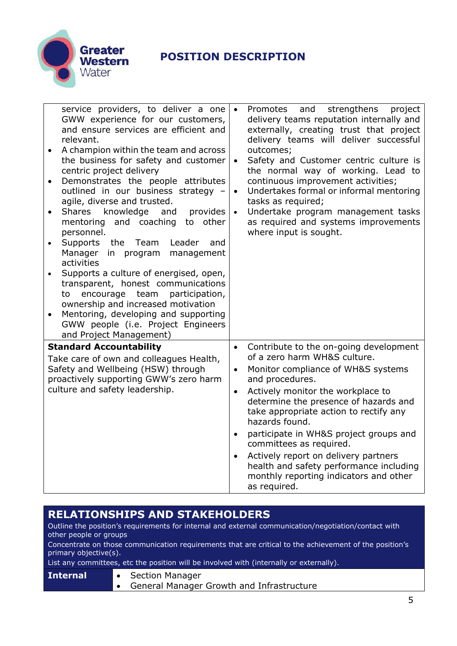

| service providers, to deliver a one<br>GWW experience for our customers,<br>and ensure services are efficient and<br>relevant.<br>A champion within the team and across<br>the business for safety and customer<br>centric project delivery<br>Demonstrates the people attributes<br>outlined in our business strategy<br>agile, diverse and trusted.<br><b>Shares</b><br>knowledge<br>and<br>provides<br>and coaching<br>to other<br>mentoring<br>personnel.<br><b>Supports</b><br>the Team<br>Leader<br>and<br>Manager<br>in program<br>management<br>activities<br>Supports a culture of energised, open,<br>transparent, honest communications<br>to<br>encourage team<br>participation,<br>ownership and increased motivation<br>Mentoring, developing and supporting<br>$\bullet$<br>GWW people (i.e. Project Engineers<br>and Project Management) | and<br>strengthens<br>Promotes<br>project<br>$\bullet$<br>delivery teams reputation internally and<br>externally, creating trust that project<br>delivery teams will deliver successful<br>outcomes;<br>Safety and Customer centric culture is<br>$\bullet$<br>the normal way of working. Lead to<br>continuous improvement activities;<br>Undertakes formal or informal mentoring<br>$\bullet$<br>tasks as required;<br>Undertake program management tasks<br>$\bullet$<br>as required and systems improvements<br>where input is sought. |
|----------------------------------------------------------------------------------------------------------------------------------------------------------------------------------------------------------------------------------------------------------------------------------------------------------------------------------------------------------------------------------------------------------------------------------------------------------------------------------------------------------------------------------------------------------------------------------------------------------------------------------------------------------------------------------------------------------------------------------------------------------------------------------------------------------------------------------------------------------|--------------------------------------------------------------------------------------------------------------------------------------------------------------------------------------------------------------------------------------------------------------------------------------------------------------------------------------------------------------------------------------------------------------------------------------------------------------------------------------------------------------------------------------------|
| <b>Standard Accountability</b>                                                                                                                                                                                                                                                                                                                                                                                                                                                                                                                                                                                                                                                                                                                                                                                                                           | Contribute to the on-going development<br>$\bullet$<br>of a zero harm WH&S culture.                                                                                                                                                                                                                                                                                                                                                                                                                                                        |
| Take care of own and colleagues Health,<br>Safety and Wellbeing (HSW) through<br>proactively supporting GWW's zero harm<br>culture and safety leadership.                                                                                                                                                                                                                                                                                                                                                                                                                                                                                                                                                                                                                                                                                                | Monitor compliance of WH&S systems<br>$\bullet$<br>and procedures.<br>Actively monitor the workplace to<br>determine the presence of hazards and<br>take appropriate action to rectify any<br>hazards found.<br>participate in WH&S project groups and<br>$\bullet$<br>committees as required.<br>Actively report on delivery partners<br>$\bullet$                                                                                                                                                                                        |
|                                                                                                                                                                                                                                                                                                                                                                                                                                                                                                                                                                                                                                                                                                                                                                                                                                                          | health and safety performance including<br>monthly reporting indicators and other<br>as required.                                                                                                                                                                                                                                                                                                                                                                                                                                          |

#### **RELATIONSHIPS AND STAKEHOLDERS**

Outline the position's requirements for internal and external communication/negotiation/contact with other people or groups

Concentrate on those communication requirements that are critical to the achievement of the position's primary objective(s).

List any committees, etc the position will be involved with (internally or externally).

| <b>Internal</b> | • Section Manager                                   |  |
|-----------------|-----------------------------------------------------|--|
|                 | <b>1.</b> General Manager Growth and Infrastructure |  |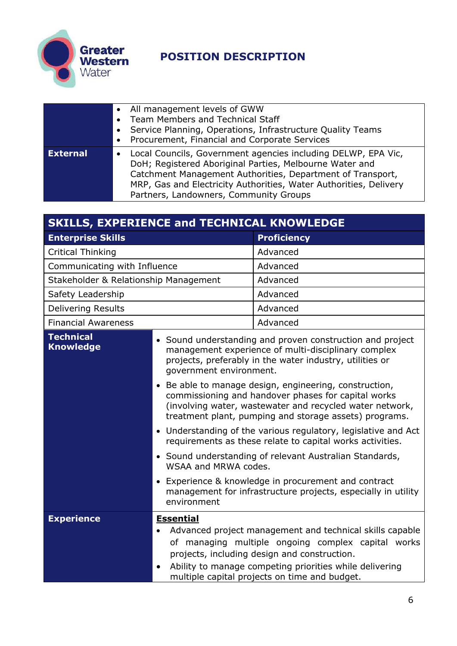

|                 | • All management levels of GWW<br>Team Members and Technical Staff<br>• Service Planning, Operations, Infrastructure Quality Teams<br>• Procurement, Financial and Corporate Services                                                                                                                 |
|-----------------|-------------------------------------------------------------------------------------------------------------------------------------------------------------------------------------------------------------------------------------------------------------------------------------------------------|
| <b>External</b> | Local Councils, Government agencies including DELWP, EPA Vic,<br>DoH; Registered Aboriginal Parties, Melbourne Water and<br>Catchment Management Authorities, Department of Transport,<br>MRP, Gas and Electricity Authorities, Water Authorities, Delivery<br>Partners, Landowners, Community Groups |

| <b>SKILLS, EXPERIENCE and TECHNICAL KNOWLEDGE</b> |                               |                                                                                                                                                                                                                                                                            |
|---------------------------------------------------|-------------------------------|----------------------------------------------------------------------------------------------------------------------------------------------------------------------------------------------------------------------------------------------------------------------------|
| <b>Enterprise Skills</b>                          |                               | <b>Proficiency</b>                                                                                                                                                                                                                                                         |
| <b>Critical Thinking</b>                          |                               | Advanced                                                                                                                                                                                                                                                                   |
| Communicating with Influence                      |                               | Advanced                                                                                                                                                                                                                                                                   |
| Stakeholder & Relationship Management             |                               | Advanced                                                                                                                                                                                                                                                                   |
| Safety Leadership                                 |                               | Advanced                                                                                                                                                                                                                                                                   |
| <b>Delivering Results</b>                         |                               | Advanced                                                                                                                                                                                                                                                                   |
| <b>Financial Awareness</b>                        |                               | Advanced                                                                                                                                                                                                                                                                   |
| <b>Technical</b><br><b>Knowledge</b>              | government environment.       | • Sound understanding and proven construction and project<br>management experience of multi-disciplinary complex<br>projects, preferably in the water industry, utilities or                                                                                               |
|                                                   |                               | • Be able to manage design, engineering, construction,<br>commissioning and handover phases for capital works<br>(involving water, wastewater and recycled water network,<br>treatment plant, pumping and storage assets) programs.                                        |
|                                                   |                               | • Understanding of the various regulatory, legislative and Act<br>requirements as these relate to capital works activities.                                                                                                                                                |
|                                                   | WSAA and MRWA codes.          | • Sound understanding of relevant Australian Standards,                                                                                                                                                                                                                    |
|                                                   | environment                   | • Experience & knowledge in procurement and contract<br>management for infrastructure projects, especially in utility                                                                                                                                                      |
| <b>Experience</b>                                 | <b>Essential</b><br>$\bullet$ | Advanced project management and technical skills capable<br>of managing multiple ongoing complex capital works<br>projects, including design and construction.<br>Ability to manage competing priorities while delivering<br>multiple capital projects on time and budget. |